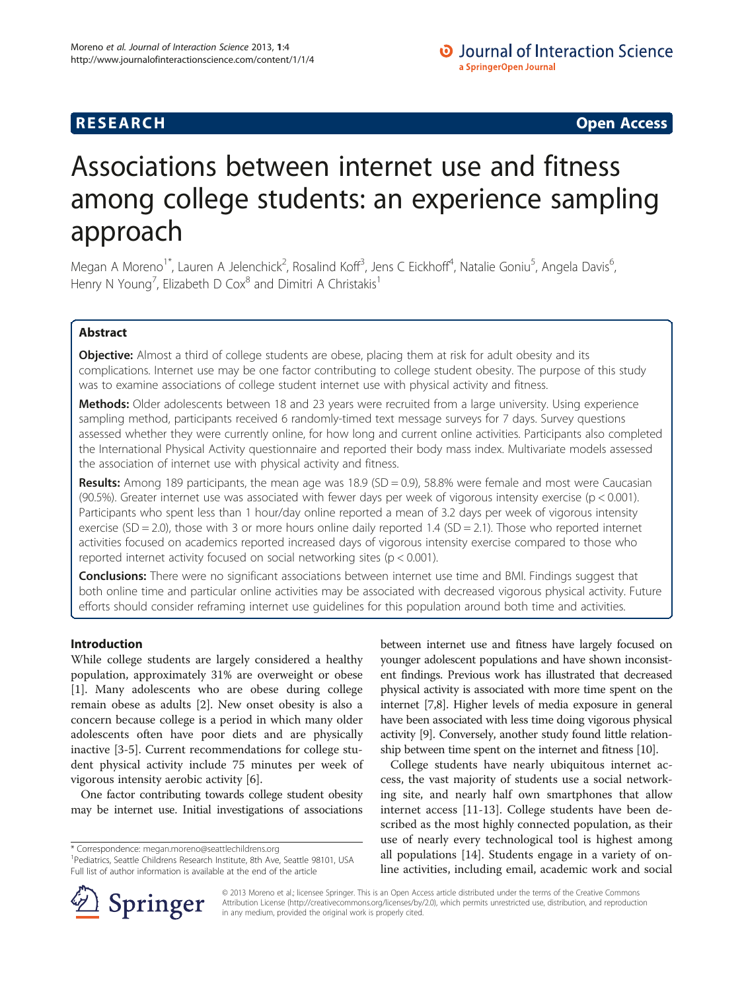**RESEARCH CHINESE ARCH CHINESE ARCH CHINESE ARCH <b>CHINESE ARCH** 

# Associations between internet use and fitness among college students: an experience sampling approach

Megan A Moreno<sup>1\*</sup>, Lauren A Jelenchick<sup>2</sup>, Rosalind Koff<sup>3</sup>, Jens C Eickhoff<sup>4</sup>, Natalie Goniu<sup>5</sup>, Angela Davis<sup>6</sup> , Henry N Young<sup>7</sup>, Elizabeth D Cox $^8$  and Dimitri A Christakis<sup>1</sup>

# Abstract

**Objective:** Almost a third of college students are obese, placing them at risk for adult obesity and its complications. Internet use may be one factor contributing to college student obesity. The purpose of this study was to examine associations of college student internet use with physical activity and fitness.

Methods: Older adolescents between 18 and 23 years were recruited from a large university. Using experience sampling method, participants received 6 randomly-timed text message surveys for 7 days. Survey questions assessed whether they were currently online, for how long and current online activities. Participants also completed the International Physical Activity questionnaire and reported their body mass index. Multivariate models assessed the association of internet use with physical activity and fitness.

**Results:** Among 189 participants, the mean age was  $18.9$  (SD = 0.9), 58.8% were female and most were Caucasian (90.5%). Greater internet use was associated with fewer days per week of vigorous intensity exercise (p < 0.001). Participants who spent less than 1 hour/day online reported a mean of 3.2 days per week of vigorous intensity exercise (SD = 2.0), those with 3 or more hours online daily reported 1.4 (SD = 2.1). Those who reported internet activities focused on academics reported increased days of vigorous intensity exercise compared to those who reported internet activity focused on social networking sites (p < 0.001).

Conclusions: There were no significant associations between internet use time and BMI. Findings suggest that both online time and particular online activities may be associated with decreased vigorous physical activity. Future efforts should consider reframing internet use guidelines for this population around both time and activities.

# Introduction

While college students are largely considered a healthy population, approximately 31% are overweight or obese [[1\]](#page-6-0). Many adolescents who are obese during college remain obese as adults [\[2](#page-6-0)]. New onset obesity is also a concern because college is a period in which many older adolescents often have poor diets and are physically inactive [\[3](#page-6-0)-[5\]](#page-6-0). Current recommendations for college student physical activity include 75 minutes per week of vigorous intensity aerobic activity [\[6\]](#page-6-0).

One factor contributing towards college student obesity may be internet use. Initial investigations of associations

between internet use and fitness have largely focused on younger adolescent populations and have shown inconsistent findings. Previous work has illustrated that decreased physical activity is associated with more time spent on the internet [[7,8](#page-6-0)]. Higher levels of media exposure in general have been associated with less time doing vigorous physical activity [[9\]](#page-6-0). Conversely, another study found little relationship between time spent on the internet and fitness [[10](#page-6-0)].

College students have nearly ubiquitous internet access, the vast majority of students use a social networking site, and nearly half own smartphones that allow internet access [[11](#page-6-0)-[13\]](#page-6-0). College students have been described as the most highly connected population, as their use of nearly every technological tool is highest among all populations [[14](#page-6-0)]. Students engage in a variety of online activities, including email, academic work and social



© 2013 Moreno et al.; licensee Springer. This is an Open Access article distributed under the terms of the Creative Commons Attribution License [\(http://creativecommons.org/licenses/by/2.0\)](http://creativecommons.org/licenses/by/2.0), which permits unrestricted use, distribution, and reproduction in any medium, provided the original work is properly cited.

<sup>\*</sup> Correspondence: [megan.moreno@seattlechildrens.org](mailto:megan.moreno@seattlechildrens.org) <sup>1</sup>

<sup>&</sup>lt;sup>1</sup> Pediatrics, Seattle Childrens Research Institute, 8th Ave, Seattle 98101, USA Full list of author information is available at the end of the article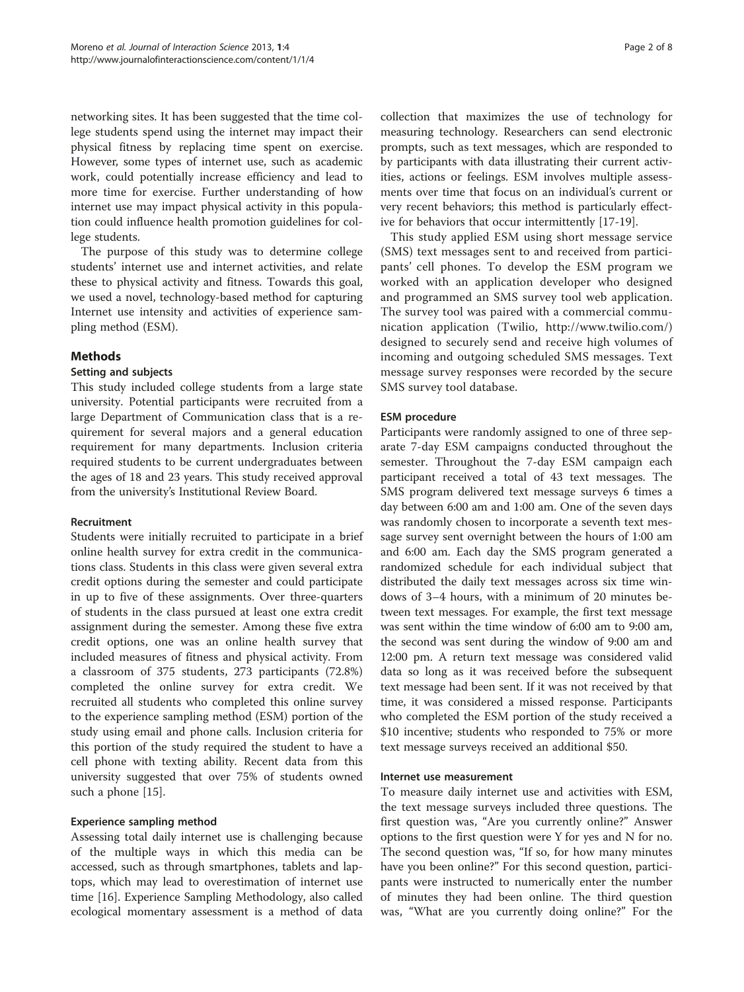networking sites. It has been suggested that the time college students spend using the internet may impact their physical fitness by replacing time spent on exercise. However, some types of internet use, such as academic work, could potentially increase efficiency and lead to more time for exercise. Further understanding of how internet use may impact physical activity in this population could influence health promotion guidelines for college students.

The purpose of this study was to determine college students' internet use and internet activities, and relate these to physical activity and fitness. Towards this goal, we used a novel, technology-based method for capturing Internet use intensity and activities of experience sampling method (ESM).

#### Methods

#### Setting and subjects

This study included college students from a large state university. Potential participants were recruited from a large Department of Communication class that is a requirement for several majors and a general education requirement for many departments. Inclusion criteria required students to be current undergraduates between the ages of 18 and 23 years. This study received approval from the university's Institutional Review Board.

#### Recruitment

Students were initially recruited to participate in a brief online health survey for extra credit in the communications class. Students in this class were given several extra credit options during the semester and could participate in up to five of these assignments. Over three-quarters of students in the class pursued at least one extra credit assignment during the semester. Among these five extra credit options, one was an online health survey that included measures of fitness and physical activity. From a classroom of 375 students, 273 participants (72.8%) completed the online survey for extra credit. We recruited all students who completed this online survey to the experience sampling method (ESM) portion of the study using email and phone calls. Inclusion criteria for this portion of the study required the student to have a cell phone with texting ability. Recent data from this university suggested that over 75% of students owned such a phone [\[15](#page-6-0)].

# Experience sampling method

Assessing total daily internet use is challenging because of the multiple ways in which this media can be accessed, such as through smartphones, tablets and laptops, which may lead to overestimation of internet use time [\[16](#page-6-0)]. Experience Sampling Methodology, also called ecological momentary assessment is a method of data

collection that maximizes the use of technology for measuring technology. Researchers can send electronic prompts, such as text messages, which are responded to by participants with data illustrating their current activities, actions or feelings. ESM involves multiple assessments over time that focus on an individual's current or very recent behaviors; this method is particularly effective for behaviors that occur intermittently [[17-19\]](#page-6-0).

This study applied ESM using short message service (SMS) text messages sent to and received from participants' cell phones. To develop the ESM program we worked with an application developer who designed and programmed an SMS survey tool web application. The survey tool was paired with a commercial communication application (Twilio,<http://www.twilio.com/>) designed to securely send and receive high volumes of incoming and outgoing scheduled SMS messages. Text message survey responses were recorded by the secure SMS survey tool database.

#### ESM procedure

Participants were randomly assigned to one of three separate 7-day ESM campaigns conducted throughout the semester. Throughout the 7-day ESM campaign each participant received a total of 43 text messages. The SMS program delivered text message surveys 6 times a day between 6:00 am and 1:00 am. One of the seven days was randomly chosen to incorporate a seventh text message survey sent overnight between the hours of 1:00 am and 6:00 am. Each day the SMS program generated a randomized schedule for each individual subject that distributed the daily text messages across six time windows of 3–4 hours, with a minimum of 20 minutes between text messages. For example, the first text message was sent within the time window of 6:00 am to 9:00 am, the second was sent during the window of 9:00 am and 12:00 pm. A return text message was considered valid data so long as it was received before the subsequent text message had been sent. If it was not received by that time, it was considered a missed response. Participants who completed the ESM portion of the study received a \$10 incentive; students who responded to 75% or more text message surveys received an additional \$50.

#### Internet use measurement

To measure daily internet use and activities with ESM, the text message surveys included three questions. The first question was, "Are you currently online?" Answer options to the first question were Y for yes and N for no. The second question was, "If so, for how many minutes have you been online?" For this second question, participants were instructed to numerically enter the number of minutes they had been online. The third question was, "What are you currently doing online?" For the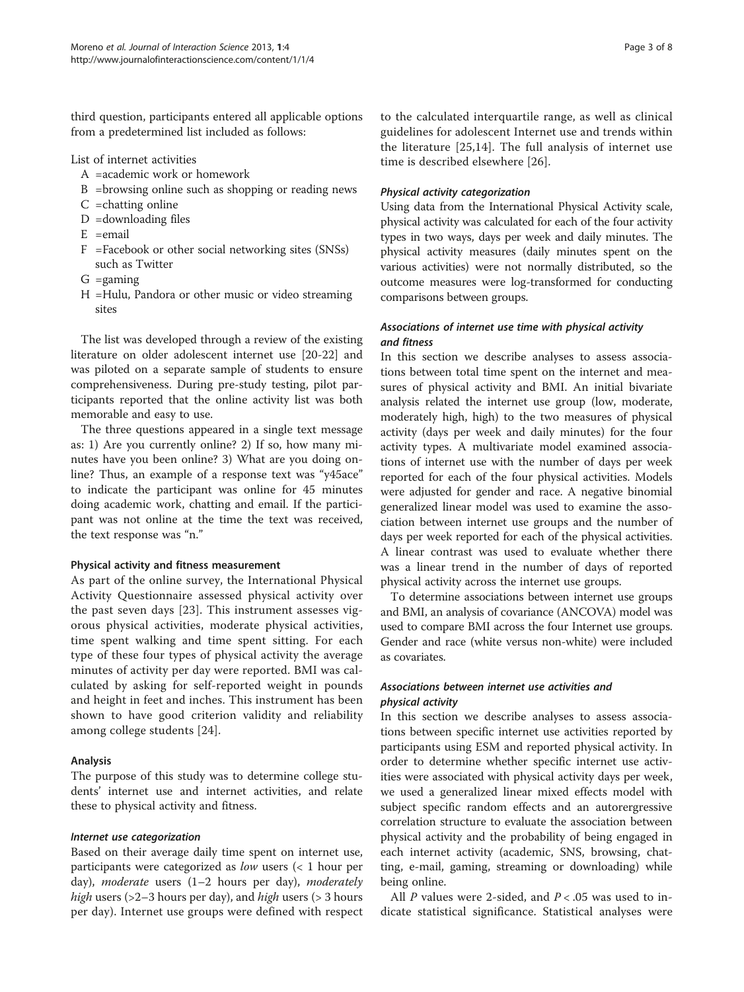third question, participants entered all applicable options from a predetermined list included as follows:

List of internet activities

- A =academic work or homework
- B =browsing online such as shopping or reading news
- $C$  = chatting online
- $D =$ downloading files
- $E$  = email
- F =Facebook or other social networking sites (SNSs) such as Twitter
- $G =$ gaming
- H =Hulu, Pandora or other music or video streaming sites

The list was developed through a review of the existing literature on older adolescent internet use [[20](#page-7-0)-[22\]](#page-7-0) and was piloted on a separate sample of students to ensure comprehensiveness. During pre-study testing, pilot participants reported that the online activity list was both memorable and easy to use.

The three questions appeared in a single text message as: 1) Are you currently online? 2) If so, how many minutes have you been online? 3) What are you doing online? Thus, an example of a response text was "y45ace" to indicate the participant was online for 45 minutes doing academic work, chatting and email. If the participant was not online at the time the text was received, the text response was "n."

#### Physical activity and fitness measurement

As part of the online survey, the International Physical Activity Questionnaire assessed physical activity over the past seven days [\[23\]](#page-7-0). This instrument assesses vigorous physical activities, moderate physical activities, time spent walking and time spent sitting. For each type of these four types of physical activity the average minutes of activity per day were reported. BMI was calculated by asking for self-reported weight in pounds and height in feet and inches. This instrument has been shown to have good criterion validity and reliability among college students [\[24](#page-7-0)].

#### Analysis

The purpose of this study was to determine college students' internet use and internet activities, and relate these to physical activity and fitness.

#### Internet use categorization

Based on their average daily time spent on internet use, participants were categorized as low users (< 1 hour per day), *moderate* users  $(1-2)$  hours per day), *moderately high* users ( $>2-3$  hours per day), and *high* users ( $>3$  hours per day). Internet use groups were defined with respect to the calculated interquartile range, as well as clinical guidelines for adolescent Internet use and trends within the literature [[25](#page-7-0),[14\]](#page-6-0). The full analysis of internet use time is described elsewhere [\[26\]](#page-7-0).

#### Physical activity categorization

Using data from the International Physical Activity scale, physical activity was calculated for each of the four activity types in two ways, days per week and daily minutes. The physical activity measures (daily minutes spent on the various activities) were not normally distributed, so the outcome measures were log-transformed for conducting comparisons between groups.

### Associations of internet use time with physical activity and fitness

In this section we describe analyses to assess associations between total time spent on the internet and measures of physical activity and BMI. An initial bivariate analysis related the internet use group (low, moderate, moderately high, high) to the two measures of physical activity (days per week and daily minutes) for the four activity types. A multivariate model examined associations of internet use with the number of days per week reported for each of the four physical activities. Models were adjusted for gender and race. A negative binomial generalized linear model was used to examine the association between internet use groups and the number of days per week reported for each of the physical activities. A linear contrast was used to evaluate whether there was a linear trend in the number of days of reported physical activity across the internet use groups.

To determine associations between internet use groups and BMI, an analysis of covariance (ANCOVA) model was used to compare BMI across the four Internet use groups. Gender and race (white versus non-white) were included as covariates.

# Associations between internet use activities and physical activity

In this section we describe analyses to assess associations between specific internet use activities reported by participants using ESM and reported physical activity. In order to determine whether specific internet use activities were associated with physical activity days per week, we used a generalized linear mixed effects model with subject specific random effects and an autorergressive correlation structure to evaluate the association between physical activity and the probability of being engaged in each internet activity (academic, SNS, browsing, chatting, e-mail, gaming, streaming or downloading) while being online.

All  $P$  values were 2-sided, and  $P < .05$  was used to indicate statistical significance. Statistical analyses were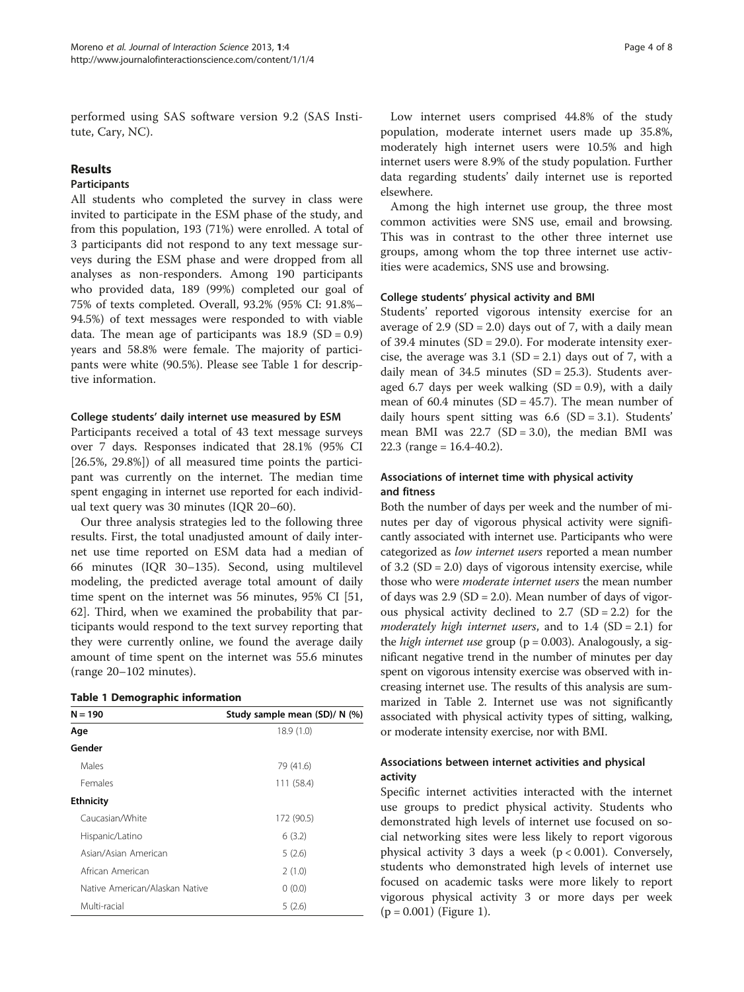performed using SAS software version 9.2 (SAS Institute, Cary, NC).

# Results

### Participants

All students who completed the survey in class were invited to participate in the ESM phase of the study, and from this population, 193 (71%) were enrolled. A total of 3 participants did not respond to any text message surveys during the ESM phase and were dropped from all analyses as non-responders. Among 190 participants who provided data, 189 (99%) completed our goal of 75% of texts completed. Overall, 93.2% (95% CI: 91.8%– 94.5%) of text messages were responded to with viable data. The mean age of participants was  $18.9$  (SD = 0.9) years and 58.8% were female. The majority of participants were white (90.5%). Please see Table 1 for descriptive information.

#### College students' daily internet use measured by ESM

Participants received a total of 43 text message surveys over 7 days. Responses indicated that 28.1% (95% CI [26.5%, 29.8%]) of all measured time points the participant was currently on the internet. The median time spent engaging in internet use reported for each individual text query was 30 minutes (IQR 20–60).

Our three analysis strategies led to the following three results. First, the total unadjusted amount of daily internet use time reported on ESM data had a median of 66 minutes (IQR 30–135). Second, using multilevel modeling, the predicted average total amount of daily time spent on the internet was 56 minutes, 95% CI [51, 62]. Third, when we examined the probability that participants would respond to the text survey reporting that they were currently online, we found the average daily amount of time spent on the internet was 55.6 minutes (range 20–102 minutes).

| $N = 190$                      | Study sample mean (SD)/ N (%) |  |  |
|--------------------------------|-------------------------------|--|--|
| Age                            | 18.9(1.0)                     |  |  |
| Gender                         |                               |  |  |
| Males                          | 79 (41.6)                     |  |  |
| Females                        | 111 (58.4)                    |  |  |
| <b>Ethnicity</b>               |                               |  |  |
| Caucasian/White                | 172 (90.5)                    |  |  |
| Hispanic/Latino                | 6(3.2)                        |  |  |
| Asian/Asian American           | 5(2.6)                        |  |  |
| African American               | 2(1.0)                        |  |  |
| Native American/Alaskan Native | 0(0.0)                        |  |  |
| Multi-racial                   | 5(2.6)                        |  |  |

Low internet users comprised 44.8% of the study population, moderate internet users made up 35.8%, moderately high internet users were 10.5% and high internet users were 8.9% of the study population. Further data regarding students' daily internet use is reported elsewhere.

Among the high internet use group, the three most common activities were SNS use, email and browsing. This was in contrast to the other three internet use groups, among whom the top three internet use activities were academics, SNS use and browsing.

#### College students' physical activity and BMI

Students' reported vigorous intensity exercise for an average of 2.9 (SD = 2.0) days out of 7, with a daily mean of 39.4 minutes  $(SD = 29.0)$ . For moderate intensity exercise, the average was  $3.1$  (SD = 2.1) days out of 7, with a daily mean of  $34.5$  minutes (SD = 25.3). Students averaged 6.7 days per week walking  $(SD = 0.9)$ , with a daily mean of  $60.4$  minutes  $(SD = 45.7)$ . The mean number of daily hours spent sitting was  $6.6$  (SD = 3.1). Students' mean BMI was  $22.7$  (SD = 3.0), the median BMI was 22.3 (range =  $16.4 - 40.2$ ).

# Associations of internet time with physical activity and fitness

Both the number of days per week and the number of minutes per day of vigorous physical activity were significantly associated with internet use. Participants who were categorized as low internet users reported a mean number of  $3.2$  (SD = 2.0) days of vigorous intensity exercise, while those who were moderate internet users the mean number of days was  $2.9$  (SD = 2.0). Mean number of days of vigorous physical activity declined to  $2.7$  (SD = 2.2) for the moderately high internet users, and to  $1.4$  (SD = 2.1) for the *high internet use* group ( $p = 0.003$ ). Analogously, a significant negative trend in the number of minutes per day spent on vigorous intensity exercise was observed with increasing internet use. The results of this analysis are summarized in Table [2.](#page-4-0) Internet use was not significantly associated with physical activity types of sitting, walking, or moderate intensity exercise, nor with BMI.

# Associations between internet activities and physical activity

Specific internet activities interacted with the internet use groups to predict physical activity. Students who demonstrated high levels of internet use focused on social networking sites were less likely to report vigorous physical activity 3 days a week  $(p < 0.001)$ . Conversely, students who demonstrated high levels of internet use focused on academic tasks were more likely to report vigorous physical activity 3 or more days per week (p = 0.001) (Figure [1](#page-5-0)).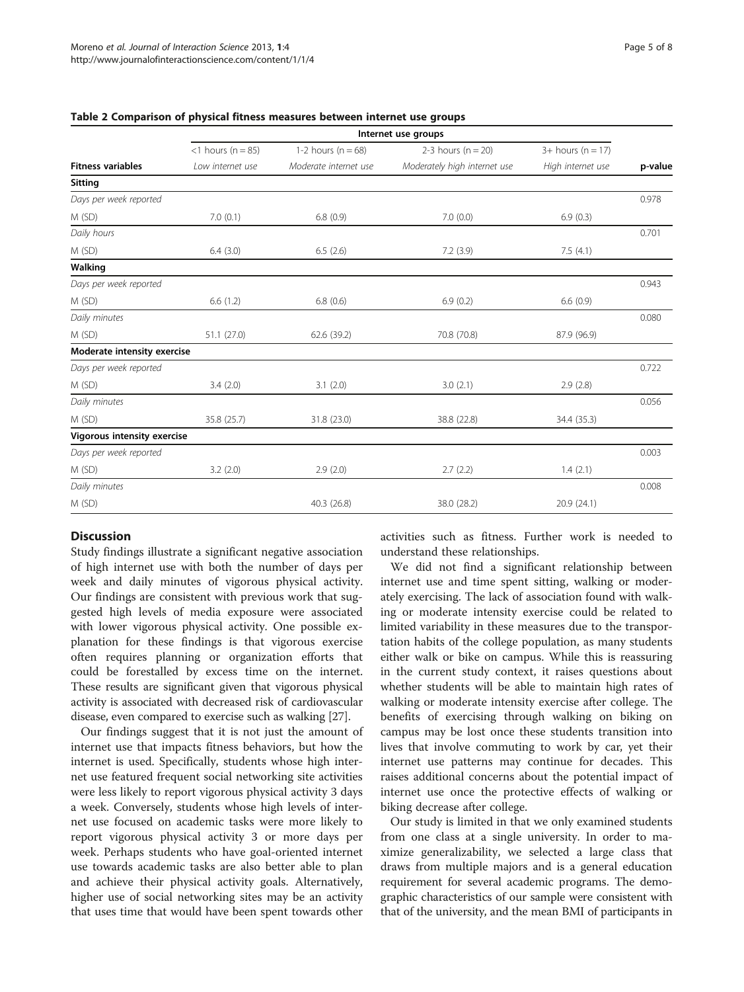|                             | Internet use groups  |                        |                              |                     |         |
|-----------------------------|----------------------|------------------------|------------------------------|---------------------|---------|
|                             | $<$ 1 hours (n = 85) | 1-2 hours ( $n = 68$ ) | 2-3 hours ( $n = 20$ )       | $3+$ hours (n = 17) |         |
| <b>Fitness variables</b>    | Low internet use     | Moderate internet use  | Moderately high internet use | High internet use   | p-value |
| Sitting                     |                      |                        |                              |                     |         |
| Days per week reported      |                      |                        |                              |                     | 0.978   |
| M (SD)                      | 7.0(0.1)             | 6.8(0.9)               | 7.0(0.0)                     | 6.9(0.3)            |         |
| Daily hours                 |                      |                        |                              |                     | 0.701   |
| M(SD)                       | 6.4(3.0)             | 6.5(2.6)               | 7.2(3.9)                     | 7.5(4.1)            |         |
| Walking                     |                      |                        |                              |                     |         |
| Days per week reported      |                      |                        |                              |                     | 0.943   |
| M(SD)                       | 6.6(1.2)             | 6.8(0.6)               | 6.9(0.2)                     | 6.6(0.9)            |         |
| Daily minutes               |                      |                        |                              |                     | 0.080   |
| M(SD)                       | 51.1(27.0)           | 62.6 (39.2)            | 70.8 (70.8)                  | 87.9 (96.9)         |         |
| Moderate intensity exercise |                      |                        |                              |                     |         |
| Days per week reported      |                      |                        |                              |                     | 0.722   |
| M (SD)                      | 3.4(2.0)             | 3.1(2.0)               | 3.0(2.1)                     | 2.9(2.8)            |         |
| Daily minutes               |                      |                        |                              |                     | 0.056   |
| M(SD)                       | 35.8 (25.7)          | 31.8 (23.0)            | 38.8 (22.8)                  | 34.4 (35.3)         |         |
| Vigorous intensity exercise |                      |                        |                              |                     |         |
| Days per week reported      |                      |                        |                              |                     | 0.003   |
| M (SD)                      | 3.2(2.0)             | 2.9(2.0)               | 2.7(2.2)                     | 1.4(2.1)            |         |
| Daily minutes               |                      |                        |                              |                     | 0.008   |
| M(SD)                       |                      | 40.3 (26.8)            | 38.0 (28.2)                  | 20.9(24.1)          |         |

#### <span id="page-4-0"></span>Table 2 Comparison of physical fitness measures between internet use groups

### **Discussion**

Study findings illustrate a significant negative association of high internet use with both the number of days per week and daily minutes of vigorous physical activity. Our findings are consistent with previous work that suggested high levels of media exposure were associated with lower vigorous physical activity. One possible explanation for these findings is that vigorous exercise often requires planning or organization efforts that could be forestalled by excess time on the internet. These results are significant given that vigorous physical activity is associated with decreased risk of cardiovascular disease, even compared to exercise such as walking [\[27\]](#page-7-0).

Our findings suggest that it is not just the amount of internet use that impacts fitness behaviors, but how the internet is used. Specifically, students whose high internet use featured frequent social networking site activities were less likely to report vigorous physical activity 3 days a week. Conversely, students whose high levels of internet use focused on academic tasks were more likely to report vigorous physical activity 3 or more days per week. Perhaps students who have goal-oriented internet use towards academic tasks are also better able to plan and achieve their physical activity goals. Alternatively, higher use of social networking sites may be an activity that uses time that would have been spent towards other

activities such as fitness. Further work is needed to understand these relationships.

We did not find a significant relationship between internet use and time spent sitting, walking or moderately exercising. The lack of association found with walking or moderate intensity exercise could be related to limited variability in these measures due to the transportation habits of the college population, as many students either walk or bike on campus. While this is reassuring in the current study context, it raises questions about whether students will be able to maintain high rates of walking or moderate intensity exercise after college. The benefits of exercising through walking on biking on campus may be lost once these students transition into lives that involve commuting to work by car, yet their internet use patterns may continue for decades. This raises additional concerns about the potential impact of internet use once the protective effects of walking or biking decrease after college.

Our study is limited in that we only examined students from one class at a single university. In order to maximize generalizability, we selected a large class that draws from multiple majors and is a general education requirement for several academic programs. The demographic characteristics of our sample were consistent with that of the university, and the mean BMI of participants in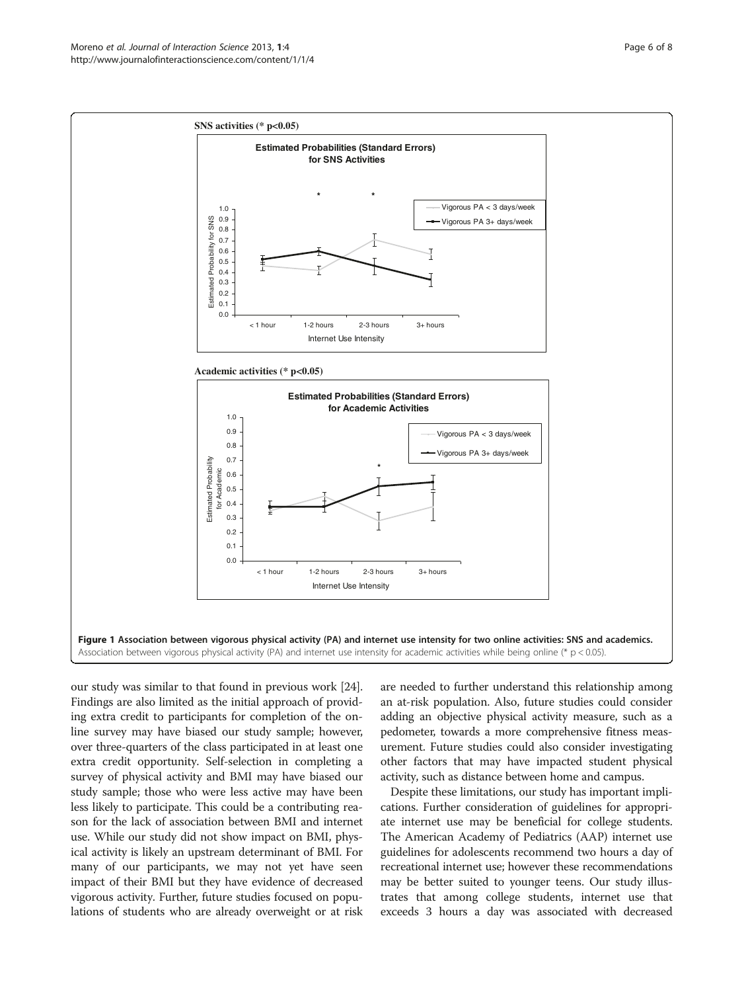<span id="page-5-0"></span>

our study was similar to that found in previous work [[24](#page-7-0)]. Findings are also limited as the initial approach of providing extra credit to participants for completion of the online survey may have biased our study sample; however, over three-quarters of the class participated in at least one extra credit opportunity. Self-selection in completing a survey of physical activity and BMI may have biased our study sample; those who were less active may have been less likely to participate. This could be a contributing reason for the lack of association between BMI and internet use. While our study did not show impact on BMI, physical activity is likely an upstream determinant of BMI. For many of our participants, we may not yet have seen impact of their BMI but they have evidence of decreased vigorous activity. Further, future studies focused on populations of students who are already overweight or at risk are needed to further understand this relationship among an at-risk population. Also, future studies could consider adding an objective physical activity measure, such as a pedometer, towards a more comprehensive fitness measurement. Future studies could also consider investigating other factors that may have impacted student physical activity, such as distance between home and campus.

Despite these limitations, our study has important implications. Further consideration of guidelines for appropriate internet use may be beneficial for college students. The American Academy of Pediatrics (AAP) internet use guidelines for adolescents recommend two hours a day of recreational internet use; however these recommendations may be better suited to younger teens. Our study illustrates that among college students, internet use that exceeds 3 hours a day was associated with decreased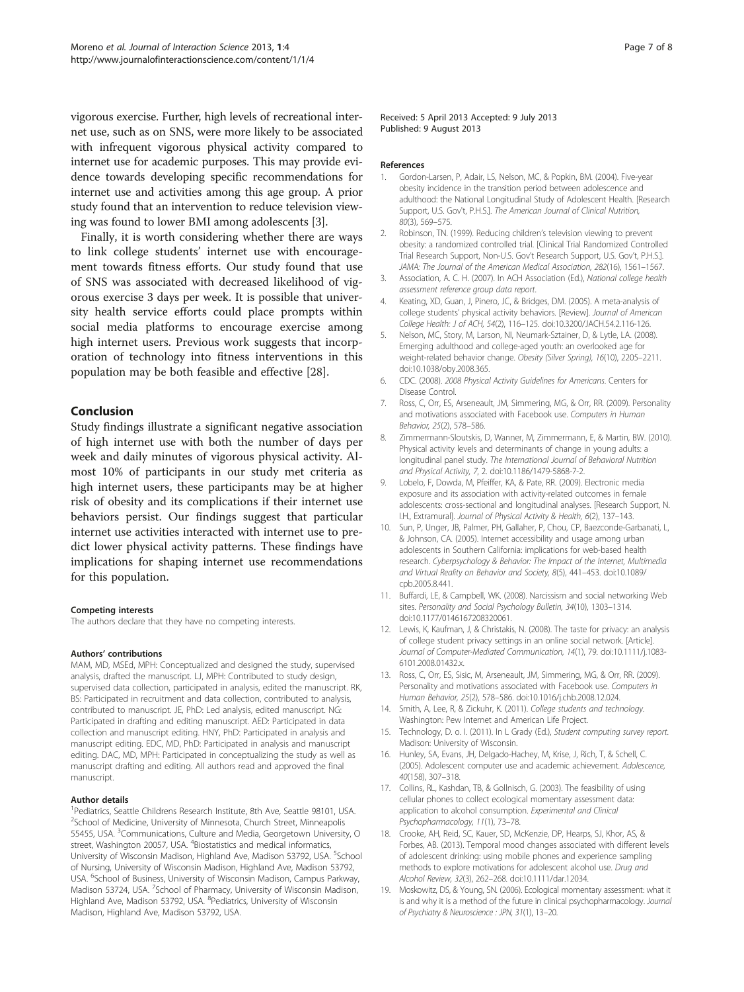<span id="page-6-0"></span>vigorous exercise. Further, high levels of recreational internet use, such as on SNS, were more likely to be associated with infrequent vigorous physical activity compared to internet use for academic purposes. This may provide evidence towards developing specific recommendations for internet use and activities among this age group. A prior study found that an intervention to reduce television viewing was found to lower BMI among adolescents [3].

Finally, it is worth considering whether there are ways to link college students' internet use with encouragement towards fitness efforts. Our study found that use of SNS was associated with decreased likelihood of vigorous exercise 3 days per week. It is possible that university health service efforts could place prompts within social media platforms to encourage exercise among high internet users. Previous work suggests that incorporation of technology into fitness interventions in this population may be both feasible and effective [[28](#page-7-0)].

# Conclusion

Study findings illustrate a significant negative association of high internet use with both the number of days per week and daily minutes of vigorous physical activity. Almost 10% of participants in our study met criteria as high internet users, these participants may be at higher risk of obesity and its complications if their internet use behaviors persist. Our findings suggest that particular internet use activities interacted with internet use to predict lower physical activity patterns. These findings have implications for shaping internet use recommendations for this population.

#### Competing interests

The authors declare that they have no competing interests.

#### Authors' contributions

MAM, MD, MSEd, MPH: Conceptualized and designed the study, supervised analysis, drafted the manuscript. LJ, MPH: Contributed to study design, supervised data collection, participated in analysis, edited the manuscript. RK, BS: Participated in recruitment and data collection, contributed to analysis, contributed to manuscript. JE, PhD: Led analysis, edited manuscript. NG: Participated in drafting and editing manuscript. AED: Participated in data collection and manuscript editing. HNY, PhD: Participated in analysis and manuscript editing. EDC, MD, PhD: Participated in analysis and manuscript editing. DAC, MD, MPH: Participated in conceptualizing the study as well as manuscript drafting and editing. All authors read and approved the final manuscript.

#### Author details

<sup>1</sup> Pediatrics, Seattle Childrens Research Institute, 8th Ave, Seattle 98101, USA. <sup>2</sup>School of Medicine, University of Minnesota, Church Street, Minneapolis 55455, USA. <sup>3</sup> Communications, Culture and Media, Georgetown University, O street, Washington 20057, USA. <sup>4</sup>Biostatistics and medical informatics, University of Wisconsin Madison, Highland Ave, Madison 53792, USA. <sup>5</sup>School of Nursing, University of Wisconsin Madison, Highland Ave, Madison 53792, USA. <sup>6</sup>School of Business, University of Wisconsin Madison, Campus Parkway, Madison 53724, USA. <sup>7</sup>School of Pharmacy, University of Wisconsin Madison, Highland Ave, Madison 53792, USA. <sup>8</sup>Pediatrics, University of Wisconsin Madison, Highland Ave, Madison 53792, USA.

Received: 5 April 2013 Accepted: 9 July 2013 Published: 9 August 2013

#### References

- 1. Gordon-Larsen, P, Adair, LS, Nelson, MC, & Popkin, BM. (2004). Five-year obesity incidence in the transition period between adolescence and adulthood: the National Longitudinal Study of Adolescent Health. [Research Support, U.S. Gov't, P.H.S.]. The American Journal of Clinical Nutrition, 80(3), 569–575.
- 2. Robinson, TN. (1999). Reducing children's television viewing to prevent obesity: a randomized controlled trial. [Clinical Trial Randomized Controlled Trial Research Support, Non-U.S. Gov't Research Support, U.S. Gov't, P.H.S.]. JAMA: The Journal of the American Medical Association, 282(16), 1561–1567.
- 3. Association, A. C. H. (2007). In ACH Association (Ed.), National college health assessment reference group data report.
- 4. Keating, XD, Guan, J, Pinero, JC, & Bridges, DM. (2005). A meta-analysis of college students' physical activity behaviors. [Review]. Journal of American College Health: J of ACH, 54(2), 116–125. doi:[10.3200/JACH.54.2.116-126](http://dx.doi.org/10.3200/JACH.54.2.116-126).
- 5. Nelson, MC, Story, M, Larson, NI, Neumark-Sztainer, D, & Lytle, LA. (2008). Emerging adulthood and college-aged youth: an overlooked age for weight-related behavior change. Obesity (Silver Spring), 16(10), 2205–2211. doi[:10.1038/oby.2008.365](http://dx.doi.org/10.1038/oby.2008.365).
- 6. CDC. (2008). 2008 Physical Activity Guidelines for Americans. Centers for Disease Control.
- 7. Ross, C, Orr, ES, Arseneault, JM, Simmering, MG, & Orr, RR. (2009). Personality and motivations associated with Facebook use. Computers in Human Behavior, 25(2), 578–586.
- 8. Zimmermann-Sloutskis, D, Wanner, M, Zimmermann, E, & Martin, BW. (2010). Physical activity levels and determinants of change in young adults: a longitudinal panel study. The International Journal of Behavioral Nutrition and Physical Activity, 7, 2. doi:[10.1186/1479-5868-7-2](http://dx.doi.org/10.1186/1479-5868-7-2).
- 9. Lobelo, F, Dowda, M, Pfeiffer, KA, & Pate, RR. (2009). Electronic media exposure and its association with activity-related outcomes in female adolescents: cross-sectional and longitudinal analyses. [Research Support, N. I.H., Extramural]. Journal of Physical Activity & Health, 6(2), 137–143.
- 10. Sun, P, Unger, JB, Palmer, PH, Gallaher, P, Chou, CP, Baezconde-Garbanati, L, & Johnson, CA. (2005). Internet accessibility and usage among urban adolescents in Southern California: implications for web-based health research. Cyberpsychology & Behavior: The Impact of the Internet, Multimedia and Virtual Reality on Behavior and Society, 8(5), 441–453. doi:[10.1089/](http://dx.doi.org/10.1089/cpb.2005.8.441) [cpb.2005.8.441](http://dx.doi.org/10.1089/cpb.2005.8.441).
- 11. Buffardi, LE, & Campbell, WK. (2008). Narcissism and social networking Web sites. Personality and Social Psychology Bulletin, 34(10), 1303–1314. doi[:10.1177/0146167208320061.](http://dx.doi.org/10.1177/0146167208320061)
- 12. Lewis, K, Kaufman, J, & Christakis, N. (2008). The taste for privacy: an analysis of college student privacy settings in an online social network. [Article]. Journal of Computer-Mediated Communication, 14(1), 79. doi[:10.1111/j.1083-](http://dx.doi.org/10.1111/j.1083-6101.2008.01432.x) [6101.2008.01432.x.](http://dx.doi.org/10.1111/j.1083-6101.2008.01432.x)
- 13. Ross, C, Orr, ES, Sisic, M, Arseneault, JM, Simmering, MG, & Orr, RR. (2009). Personality and motivations associated with Facebook use. Computers in Human Behavior, 25(2), 578–586. doi:[10.1016/j.chb.2008.12.024.](http://dx.doi.org/10.1016/j.chb.2008.12.024)
- 14. Smith, A, Lee, R, & Zickuhr, K. (2011). College students and technology. Washington: Pew Internet and American Life Project.
- 15. Technology, D. o. I. (2011). In L Grady (Ed.), Student computing survey report. Madison: University of Wisconsin.
- 16. Hunley, SA, Evans, JH, Delgado-Hachey, M, Krise, J, Rich, T, & Schell, C. (2005). Adolescent computer use and academic achievement. Adolescence, 40(158), 307–318.
- 17. Collins, RL, Kashdan, TB, & Gollnisch, G. (2003). The feasibility of using cellular phones to collect ecological momentary assessment data: application to alcohol consumption. Experimental and Clinical Psychopharmacology, 11(1), 73–78.
- 18. Crooke, AH, Reid, SC, Kauer, SD, McKenzie, DP, Hearps, SJ, Khor, AS, & Forbes, AB. (2013). Temporal mood changes associated with different levels of adolescent drinking: using mobile phones and experience sampling methods to explore motivations for adolescent alcohol use. Drug and Alcohol Review, 32(3), 262–268. doi:[10.1111/dar.12034](http://dx.doi.org/10.1111/dar.12034).
- 19. Moskowitz, DS, & Young, SN. (2006). Ecological momentary assessment: what it is and why it is a method of the future in clinical psychopharmacology. Journal of Psychiatry & Neuroscience : JPN, 31(1), 13–20.